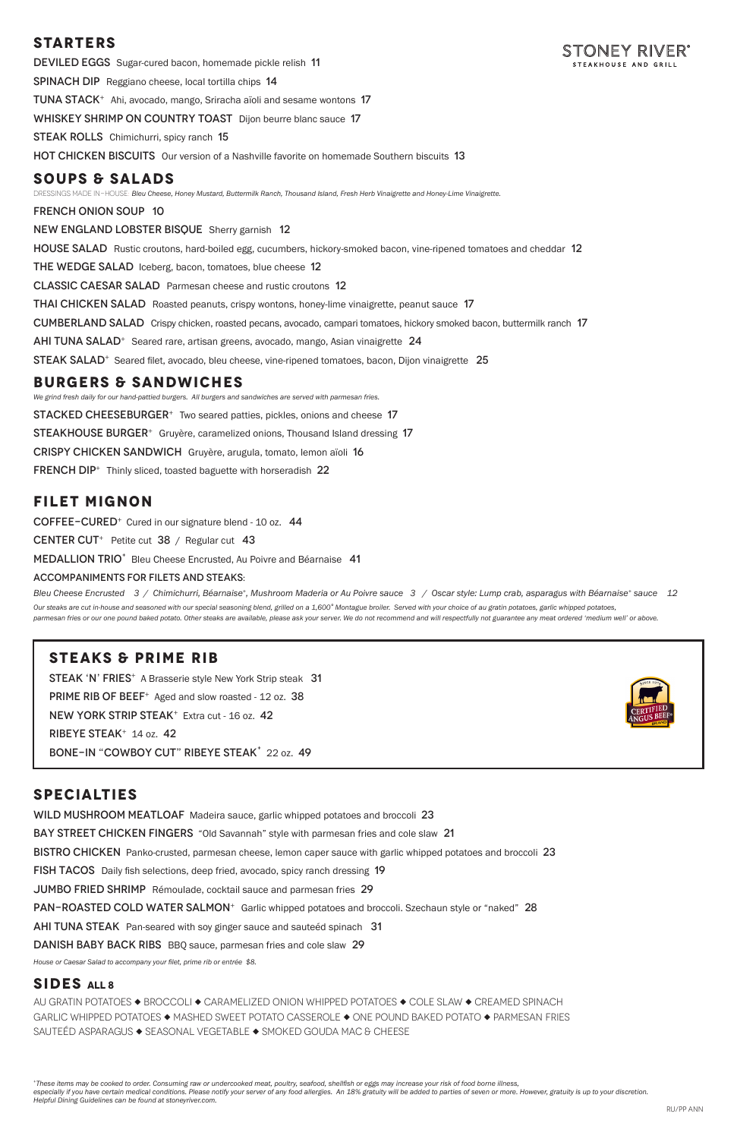## **STARTERS**

TONEY RIVER DEVILED EGGS Sugar-cured bacon, homemade pickle relish 11 Spinach DipReggiano cheese, local tortilla chips 14 Tuna Stack<sup>+</sup>Ahi, avocado, mango, Sriracha aïoli and sesame wontons 17 Whiskey Shrimp on Country ToastDijon beurre blanc sauce 17 **STEAK ROLLS** Chimichurri, spicy ranch 15 HOT CHICKEN BISCUITSOur version of a Nashville favorite on homemade Southern biscuits 13 **SOUPS & SALADS** DRESSINGS MADE IN-HOUSE: *Bleu Cheese, Honey Mustard, Buttermilk Ranch, Thousand Island, Fresh Herb Vinaigrette and Honey-Lime Vinaigrette.*  french onion soup 10 New England Lobster BisqueSherry garnish 12 HOUSE SALAD Rustic croutons, hard-boiled egg, cucumbers, hickory-smoked bacon, vine-ripened tomatoes and cheddar 12 THE WEDGE SALAD Iceberg, bacon, tomatoes, blue cheese 12 Classic Caesar SaladParmesan cheese and rustic croutons 12 Thai Chicken SaladRoasted peanuts, crispy wontons, honey-lime vinaigrette, peanut sauce 17

*We grind fresh daily for our hand-pattied burgers. All burgers and sandwiches are served with parmesan fries.* **STACKED CHEESEBURGER<sup>+</sup>** Two seared patties, pickles, onions and cheese 17 STEAKHOUSE BURGER<sup>+</sup> Gruyère, caramelized onions, Thousand Island dressing 17 crispy chicken sandwichGruyère, arugula, tomato, lemon aïoli 16 FRENCH DIP<sup>+</sup> Thinly sliced, toasted baguette with horseradish 22

Cumberland SaladCrispy chicken, roasted pecans, avocado, campari tomatoes, hickory smoked bacon, buttermilk ranch 17

Ahi Tuna Salad<sup>+</sup>Seared rare, artisan greens, avocado, mango, Asian vinaigrette24

Steak Salad<sup>+</sup>Seared filet, avocado, bleu cheese, vine-ripened tomatoes, bacon, Dijon vinaigrette 25

Our steaks are cut in-house and seasoned with our special seasoning blend, grilled on a 1,600° Montague broiler. Served with your choice of au gratin potatoes, garlic whipped potatoes, *parmesan fries or our one pound baked potato. Other steaks are available, please ask your server. We do not recommend and will respectfully not guarantee any meat ordered 'medium well' or above.*

### **BURGERS & SANDWICHES**

## **FILET MIGNON**

 $CO$ FFEE-CURED<sup>+</sup> Cured in our signature blend - 10 oz.  $44$ CENTER CUT<sup>+</sup> Petite cut  $38 /$  Regular cut 43 MEDALLION TRIO<sup>+</sup> Bleu Cheese Encrusted, Au Poivre and Béarnaise 41

#### Accompaniments for filets and steaks:

Bleu Cheese Encrusted 3 / Chimichurri, Béarnaise<sup>+</sup>, Mushroom Maderia or Au Poivre sauce 3 / Oscar style: Lump crab, asparagus with Béarnaise<sup>+</sup> sauce 12

## **STEAKS & PRIME RIB**

STEAK 'N' FRIES<sup>+</sup> A Brasserie style New York Strip steak 31 PRIME RIB OF BEEF<sup>+</sup> Aged and slow roasted - 12 oz. 38 NEW YORK STRIP STEAK<sup>+</sup> Extra cut - 16 oz. 42 Ribeye Steak<sup>+</sup> 14 oz. 42 BONE-IN "COWBOY CUT" RIBEYE STEAK<sup>+</sup> 22 oz. 49



## **SPECIALTIES**

WILD MUSHROOM MEATLOAF Madeira sauce, garlic whipped potatoes and broccoli 23 BAY STREET CHICKEN FINGERS "Old Savannah" style with parmesan fries and cole slaw 21

BISTRO CHICKEN Panko-crusted, parmesan cheese, lemon caper sauce with garlic whipped potatoes and broccoli 23 FISH TACOS Daily fish selections, deep fried, avocado, spicy ranch dressing 19 Jumbo Fried ShrimpRémoulade, cocktail sauce and parmesan fries 29 PAN-ROASTED COLD WATER SALMON<sup>+</sup> Garlic whipped potatoes and broccoli. Szechaun style or "naked" 28 ahi tuna steakPan-seared with soy ginger sauce and sauteéd spinach 31 DANISH BABY BACK RIBS BBQ sauce, parmesan fries and cole slaw 29

*House or Caesar Salad to accompany your filet, prime rib or entrée \$8.* 

#### **SIDES All 8**

AU GRATIN POTATOES  $\blacklozenge$  BROCCOLI  $\blacklozenge$  CARAMELIZED ONION WHIPPED POTATOES  $\blacklozenge$  COLE SLAW  $\blacklozenge$  CREAMED SPINACH GARLIC WHIPPED POTATOES  $\blacklozenge$  MASHED SWEET POTATO CASSEROLE  $\blacklozenge$  ONE POUND BAKED POTATO  $\blacklozenge$  PARMESAN FRIES SAUTEÉD ASPARAGUS  $\blacklozenge$  SEASONAL VEGETABLE  $\blacklozenge$  SMOKED GOUDA MAC & CHEESE

*<sup>+</sup>These items may be cooked to order. Consuming raw or undercooked meat, poultry, seafood, shellfish or eggs may increase your risk of food borne illness, especially if you have certain medical conditions. Please notify your server of any food allergies. An 18% gratuity will be added to parties of seven or more. However, gratuity is up to your discretion. Helpful Dining Guidelines can be found at stoneyriver.com.*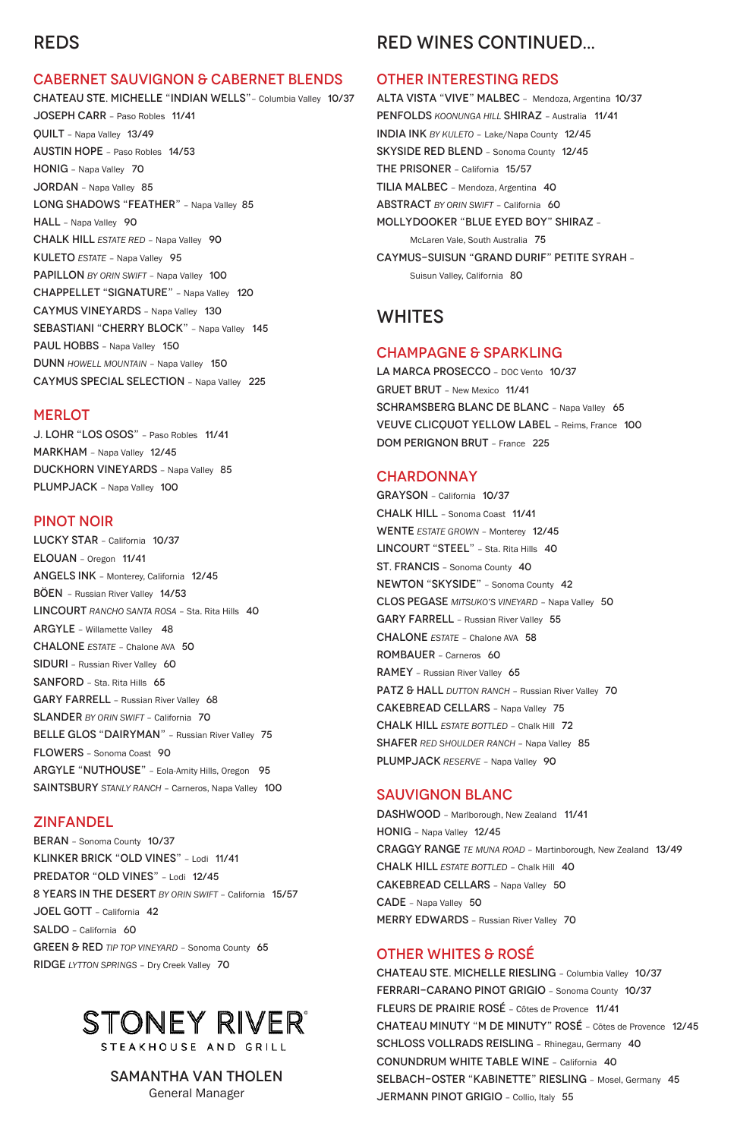# REDS

#### CABERNET SAUVIGNON & CABERNET BLENDS

J. LOHR "LOS OSOS" – Paso Robles 11/41 MARKHAM – Napa Valley 12/45 DUCKHORN VINEYARDS – Napa Valley 85 PLUMPJACK - Napa Valley 100

CHATEAU STE. MICHELLE "INDIAN WELLS"– Columbia Valley 10/37 JOSEPH CARR – Paso Robles 11/41 QUILT – Napa Valley 13/49 AUSTIN HOPE – Paso Robles 14/53 HONIG – Napa Valley 70 JORDAN – Napa Valley 85 LONG SHADOWS "FEATHER" - Napa Valley 85 HALL - Napa Valley 90 CHALK HILL *ESTATE RED* – Napa Valley 90 KULETO *ESTATE* – Napa Valley 95 PAPILLON *BY ORIN SWIFT* – Napa Valley 100 CHAPPELLET "SIGNATURE" – Napa Valley 120 CAYMUS VINEYARDS – Napa Valley 130 SEBASTIANI "CHERRY BLOCK" - Napa Valley 145 PAUL HOBBS - Napa Valley 150 DUNN *HOWELL MOUNTAIN* – Napa Valley 150 CAYMUS SPECIAL SELECTION – Napa Valley 225

#### **MERLOT**

LUCKY STAR – California 10/37 ELOUAN – Oregon 11/41 ANGELS INK – Monterey, California 12/45 BÖEN – Russian River Valley 14/53 LINCOURT *RANCHO SANTA ROSA* – Sta. Rita Hills 40 ARGYLE – Willamette Valley 48 CHALONE *ESTATE* – Chalone AVA 50 SIDURI – Russian River Valley 60 SANFORD - Sta. Rita Hills 65 GARY FARRELL – Russian River Valley 68 SLANDER *BY ORIN SWIFT* – California 70 BELLE GLOS "DAIRYMAN" - Russian River Valley 75 FLOWERS – Sonoma Coast 90 ARGYLE "NUTHOUSE" – Eola-Amity Hills, Oregon 95 **SAINTSBURY** STANLY RANCH - Carneros, Napa Valley 100

#### PINOT NOIR

ALTA VISTA "VIVE" MALBEC – Mendoza, Argentina 10/37 PENFOLDS *KOONUNGA HILL* SHIRAZ – Australia 11/41 INDIA INK *BY KULETO* – Lake/Napa County 12/45 SKYSIDE RED BLEND – Sonoma County 12/45 THE PRISONER – California 15/57 TILIA MALBEC – Mendoza, Argentina 40 ABSTRACT *BY ORIN SWIFT* – California 60 MOLLYDOOKER "BLUE EYED BOY" SHIRAZ – McLaren Vale, South Australia 75 CAYMUS-SUISUN "GRAND DURIF" PETITE SYRAH – Suisun Valley, California 80

LA MARCA PROSECCO - DOC Vento 10/37 GRUET BRUT – New Mexico 11/41 SCHRAMSBERG BLANC DE BLANC - Napa Valley 65 VEUVE CLICQUOT YELLOW LABEL – Reims, France 100 DOM PERIGNON BRUT – France 225

#### **CHARDONNAY**

## ZINFANDEL

BERAN – Sonoma County 10/37 KLINKER BRICK "OLD VINES" – Lodi 11/41 PREDATOR "OLD VINES" - Lodi 12/45 8 YEARS IN THE DESERT *BY ORIN SWIFT* – California 15/57 JOEL GOTT – California 42 SALDO – California 60 GREEN & RED *TIP TOP VINEYARD* – Sonoma County 65 RIDGE *LYTTON SPRINGS* – Dry Creek Valley 70

# STONEY RIVER®

STEAKHOUSE AND GRILL

DASHWOOD - Marlborough, New Zealand 11/41 HONIG – Napa Valley 12/45

CHATEAU STE. MICHELLE RIESLING – Columbia Valley 10/37 FERRARI-CARANO PINOT GRIGIO – Sonoma County 10/37 FLEURS DE PRAIRIE ROSÉ – Côtes de Provence 11/41 CHATEAU MINUTY "M DE MINUTY" ROSÉ – Côtes de Provence 12/45 SCHLOSS VOLLRADS REISLING – Rhinegau, Germany 40 CONUNDRUM WHITE TABLE WINE – California 40 SELBACH-OSTER "KABINETTE" RIESLING – Mosel, Germany 45 JERMANN PINOT GRIGIO - Collio, Italy 55

# RED WINES CONTINUED...

#### OTHER INTERESTING REDS

## WHITES

#### CHAMPAGNE & SPARKLING

GRAYSON – California 10/37 CHALK HILL – Sonoma Coast 11/41 WENTE *ESTATE GROWN* – Monterey 12/45 LINCOURT "STEEL" - Sta. Rita Hills 40 ST. FRANCIS – Sonoma County 40 NEWTON "SKYSIDE" – Sonoma County 42 CLOS PEGASE *MITSUKO'S VINEYARD* – Napa Valley 50 GARY FARRELL – Russian River Valley 55 CHALONE *ESTATE* – Chalone AVA 58 ROMBAUER – Carneros 60 RAMEY – Russian River Valley 65 PATZ & HALL *DUTTON RANCH* – Russian River Valley 70 CAKEBREAD CELLARS – Napa Valley 75 CHALK HILL *ESTATE BOTTLED* – Chalk Hill 72 SHAFER *RED SHOULDER RANCH* – Napa Valley 85 PLUMPJACK *RESERVE* – Napa Valley 90

#### SAUVIGNON BLANC

CRAGGY RANGE *TE MUNA ROAD* – Martinborough, New Zealand 13/49 CHALK HILL *ESTATE BOTTLED* – Chalk Hill 40 CAKEBREAD CELLARS – Napa Valley 50 CADE – Napa Valley 50 MERRY EDWARDS – Russian River Valley 70

## OTHER WHITES & ROSÉ

## Samantha Van Tholen

General Manager